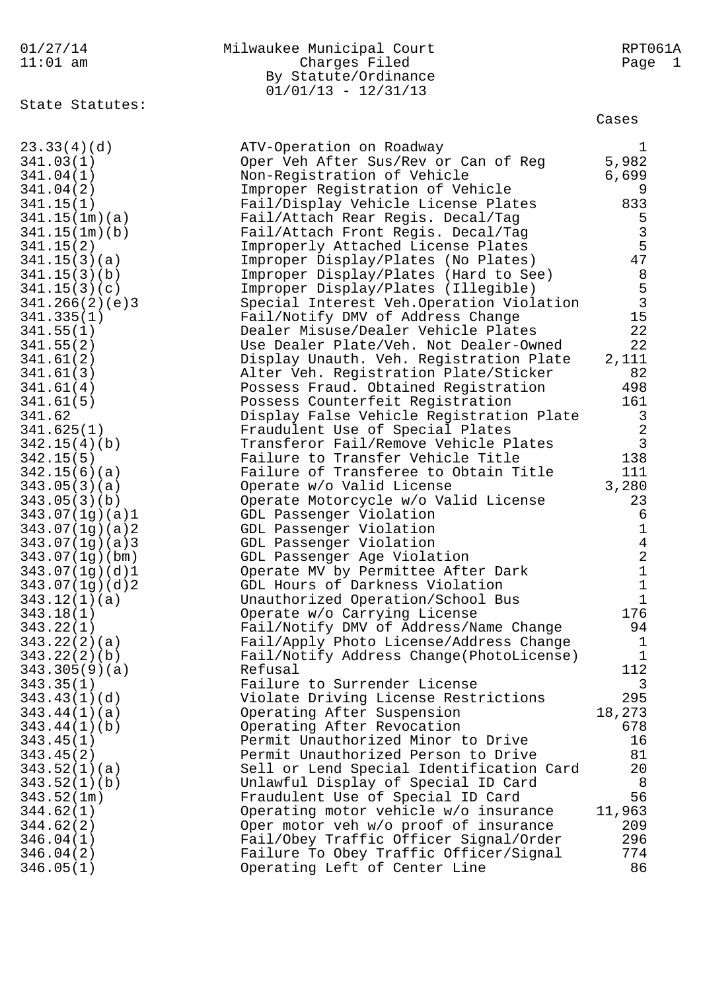01/27/14 Milwaukee Municipal Court RPT061A 11:01 am Charges Filed Page 1 By Statute/Ordinance  $01/01/13 - 12/31/13$ State Statutes: Cases 23.33(4)(d) The ATV-Operation on Roadway 1 341.03(1) Oper Veh After Sus/Rev or Can of Reg 5,982 341.04(1) Non-Registration of Vehicle 6,699 341.04(2) Improper Registration of Vehicle 9 341.15(1) Fail/Display Vehicle License Plates 833 341.15(1m)(a) Fail/Attach Rear Regis. Decal/Tag 5 341.15(1m)(b) Fail/Attach Front Regis. Decal/Tag 3 341.15(2) Improperly Attached License Plates 5 341.15(3)(a) Improper Display/Plates (No Plates) 47 341.15(3)(b) Improper Display/Plates (Hard to See) 8 341.15(3)(c) Improper Display/Plates (Illegible) 5 341.266(2)(e)3 Special Interest Veh.Operation Violation 3 341.335(1) Fail/Notify DMV of Address Change 15 341.55(1) Dealer Misuse/Dealer Vehicle Plates 22 341.55(2) Use Dealer Plate/Veh. Not Dealer-Owned 22 341.61(2) Display Unauth. Veh. Registration Plate 2,111 341.61(3) Alter Veh. Registration Plate/Sticker 82 341.61(4) Possess Fraud. Obtained Registration 498 341.61(5) Possess Counterfeit Registration 161 341.62 Display False Vehicle Registration Plate 3 341.625(1) Fraudulent Use of Special Plates 2 342.15(4)(b) Transferor Fail/Remove Vehicle Plates 3 342.15(5) Failure to Transfer Vehicle Title 138 342.15(6)(a) Failure of Transferee to Obtain Title 111 343.05(3)(a) Operate w/o Valid License 3,280 343.05(3)(b) Operate Motorcycle w/o Valid License 23 343.07(1g)(a)1 GDL Passenger Violation 6 343.07(1g)(a)2 GDL Passenger Violation 1 343.07(1g)(a)3 GDL Passenger Violation 4 343.07(1g)(bm) GDL Passenger Age Violation 2 343.07(1g)(d)1 Operate MV by Permittee After Dark 1 343.07(1g)(d)2 GDL Hours of Darkness Violation 1 343.12(1)(a) Unauthorized Operation/School Bus 1 343.18(1) Operate w/o Carrying License 176 343.22(1) Fail/Notify DMV of Address/Name Change 94 343.22(2)(a) Fail/Apply Photo License/Address Change 1 343.22(2)(b) Fail/Notify Address Change(PhotoLicense) 1 343.305(9)(a) Refusal 2012 343.35(1) Failure to Surrender License 3 343.43(1)(d) Violate Driving License Restrictions 295 343.44(1)(a) Operating After Suspension 18,273 343.44(1)(b) Operating After Revocation 678 343.45(1) Permit Unauthorized Minor to Drive 16 343.45(2) Permit Unauthorized Person to Drive 81 343.52(1)(a) Sell or Lend Special Identification Card 20 343.52(1)(b) Unlawful Display of Special ID Card 8 343.52(1m) Fraudulent Use of Special ID Card 56 344.62(1) Operating motor vehicle w/o insurance 11,963 344.62(2) Oper motor veh w/o proof of insurance 209 346.04(1) Fail/Obey Traffic Officer Signal/Order 296 346.04(2) Failure To Obey Traffic Officer/Signal 774 346.05(1) Operating Left of Center Line 86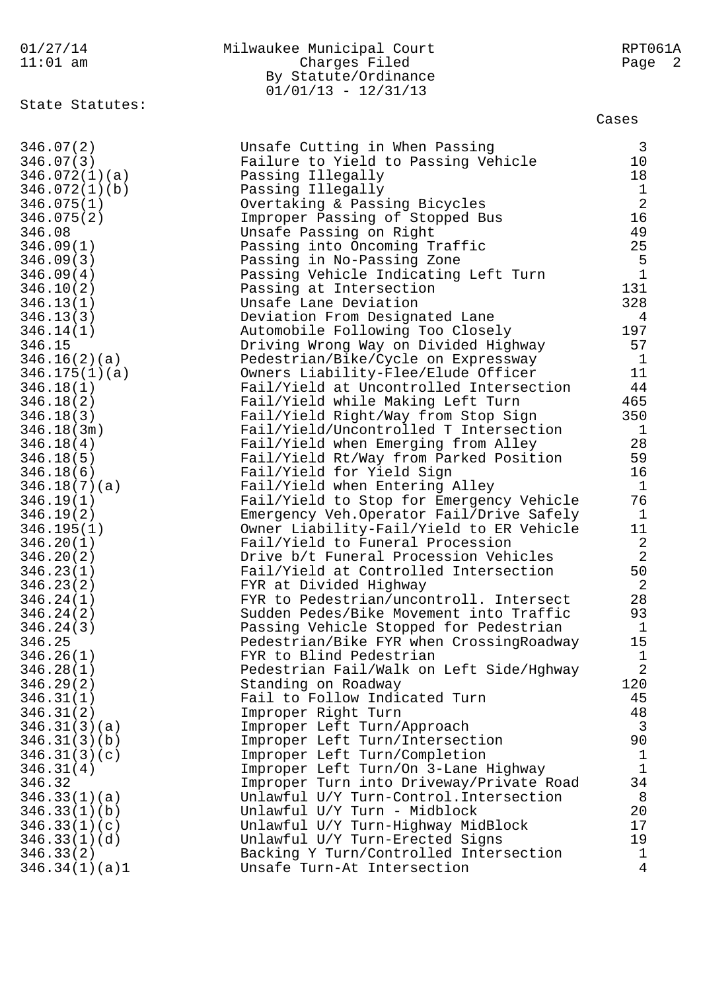| 01/27/14<br>$11:01$ am     | Milwaukee Municipal Court<br>Charges Filed<br>By Statute/Ordinance<br>$01/01/13 - 12/31/13$ | RPT061A<br>Page<br>$\overline{2}$     |
|----------------------------|---------------------------------------------------------------------------------------------|---------------------------------------|
| State Statutes:            |                                                                                             | Cases                                 |
| 346.07(2)                  | Unsafe Cutting in When Passing                                                              | $\overline{3}$                        |
| 346.07(3)                  | Failure to Yield to Passing Vehicle                                                         | 10                                    |
| 346.072(1)(a)              | Passing Illegally                                                                           | 18                                    |
| 346.072(1)(b)              | Passing Illegally                                                                           |                                       |
| 346.075(1)                 | Overtaking & Passing Bicycles                                                               | $\frac{1}{2}$                         |
| 346.075(2)                 | Improper Passing of Stopped Bus                                                             | 16                                    |
| 346.08                     | Unsafe Passing on Right                                                                     | 49                                    |
| 346.09(1)                  | Passing into Oncoming Traffic                                                               | 25                                    |
| 346.09(3)                  | Passing in No-Passing Zone                                                                  | $\begin{array}{c} 5 \\ 1 \end{array}$ |
| 346.09(4)                  | Passing Vehicle Indicating Left Turn                                                        |                                       |
| 346.10(2)                  | Passing at Intersection                                                                     | 131                                   |
| 346.13(1)                  | Unsafe Lane Deviation                                                                       | 328                                   |
| 346.13(3)                  | Deviation From Designated Lane                                                              | 4                                     |
| 346.14(1)                  | Automobile Following Too Closely                                                            | 197                                   |
| 346.15                     | Driving Wrong Way on Divided Highway                                                        | 57                                    |
| 346.16(2)(a)               | Pedestrian/Bike/Cycle on Expressway                                                         | $\mathbf{1}$                          |
| 346.175(1)(a)              | Owners Liability-Flee/Elude Officer                                                         | 11                                    |
| 346.18(1)                  | Fail/Yield at Uncontrolled Intersection                                                     | 44                                    |
| 346.18(2)                  | Fail/Yield while Making Left Turn                                                           | 465                                   |
| 346.18(3)                  | Fail/Yield Right/Way from Stop Sign                                                         | 350                                   |
| 346.18(3m)                 | Fail/Yield/Uncontrolled T Intersection                                                      | $\mathbf{1}$                          |
| 346.18(4)                  | Fail/Yield when Emerging from Alley                                                         | 28                                    |
| 346.18(5)                  | Fail/Yield Rt/Way from Parked Position                                                      | 59                                    |
| 346.18(6)                  | Fail/Yield for Yield Sign                                                                   | 16                                    |
| 346.18(7)(a)               | Fail/Yield when Entering Alley                                                              | $\mathbf{1}$<br>76                    |
| 346.19(1)                  | Fail/Yield to Stop for Emergency Vehicle                                                    |                                       |
| 346.19(2)<br>346.195(1)    | Emergency Veh. Operator Fail/Drive Safely<br>Owner Liability-Fail/Yield to ER Vehicle       | $\mathbf{1}$<br>11                    |
| 346.20(1)                  | Fail/Yield to Funeral Procession                                                            | $\boldsymbol{2}$                      |
| 346.20(2)                  | Drive b/t Funeral Procession Vehicles                                                       | $\overline{2}$                        |
| 346.23(1)                  | Fail/Yield at Controlled Intersection                                                       | 50                                    |
| 346.23(2)                  | FYR at Divided Highway                                                                      | 2                                     |
| 346.24(1)                  | FYR to Pedestrian/uncontroll. Intersect                                                     | 28                                    |
| 346.24(2)                  | Sudden Pedes/Bike Movement into Traffic                                                     | 93                                    |
| 346.24(3)                  | Passing Vehicle Stopped for Pedestrian                                                      | $\mathbf{1}$                          |
| 346.25                     | Pedestrian/Bike FYR when CrossingRoadway                                                    | 15                                    |
| 346.26(1)                  | FYR to Blind Pedestrian                                                                     | $\mathbf{1}$                          |
| 346.28(1)                  | Pedestrian Fail/Walk on Left Side/Hghway                                                    | $\overline{2}$                        |
| 346.29(2)                  | Standing on Roadway                                                                         | 120                                   |
| 346.31(1)                  | Fail to Follow Indicated Turn                                                               | 45                                    |
| 346.31(2)                  | Improper Right Turn                                                                         | 48                                    |
| 346.31(3)(a)               | Improper Left Turn/Approach                                                                 | $\mathbf{3}$                          |
| 346.31(3)(b)               | Improper Left Turn/Intersection                                                             | 90                                    |
| 346.31(3)(c)               | Improper Left Turn/Completion                                                               | $\mathbf 1$                           |
| 346.31(4)                  | Improper Left Turn/On 3-Lane Highway                                                        | $\mathbf{1}$                          |
| 346.32                     | Improper Turn into Driveway/Private Road                                                    | 34                                    |
| 346.33(1)(a)               | Unlawful U/Y Turn-Control. Intersection                                                     | 8                                     |
| 346.33(1)(b)               | Unlawful U/Y Turn - Midblock                                                                | 20                                    |
| 346.33(1)(c)               | Unlawful U/Y Turn-Highway MidBlock                                                          | 17                                    |
| 346.33(1)(d)               | Unlawful U/Y Turn-Erected Signs                                                             | 19<br>$\mathbf 1$                     |
| 346.33(2)<br>346.34(1)(a)1 | Backing Y Turn/Controlled Intersection<br>Unsafe Turn-At Intersection                       | 4                                     |
|                            |                                                                                             |                                       |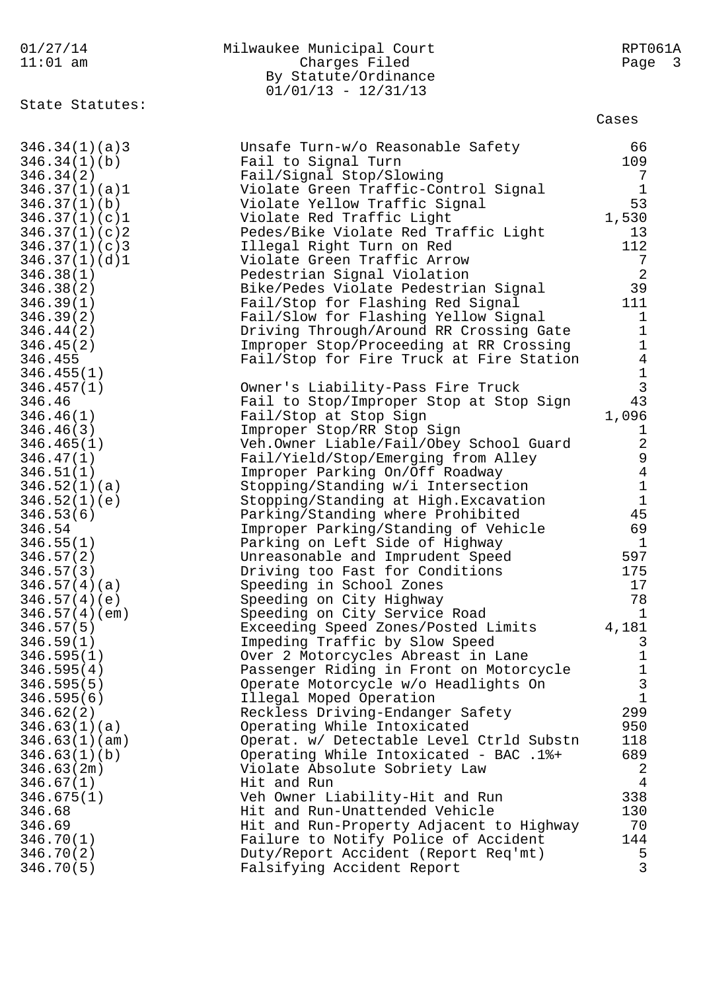| 01/27/14                      | Milwaukee Municipal Court                                          | RPT061A                       |
|-------------------------------|--------------------------------------------------------------------|-------------------------------|
| $11:01$ am                    | Charges Filed                                                      | Page 3                        |
|                               | By Statute/Ordinance                                               |                               |
|                               | $01/01/13 - 12/31/13$                                              |                               |
| State Statutes:               |                                                                    | Cases                         |
|                               |                                                                    |                               |
| 346.34(1)(a)3                 | Unsafe Turn-w/o Reasonable Safety                                  | 66                            |
| 346.34(1)(b)                  | Fail to Signal Turn                                                | 109                           |
| 346.34(2)                     | Fail/Signal Stop/Slowing                                           | 7                             |
| 346.37(1)(a)1                 | Violate Green Traffic-Control Signal                               | $\mathbf 1$                   |
| 346.37(1)(b)                  | Violate Yellow Traffic Signal                                      | 53                            |
| 346.37(1)(c)1                 | Violate Red Traffic Light                                          | 1,530                         |
| 346.37(1)(c)2                 | Pedes/Bike Violate Red Traffic Light                               | 13                            |
| 346.37(1)(c)3                 | Illegal Right Turn on Red                                          | 112                           |
| 346.37(1)(d)1                 | Violate Green Traffic Arrow                                        | 7                             |
| 346.38(1)                     | Pedestrian Signal Violation                                        | 2                             |
| 346.38(2)                     | Bike/Pedes Violate Pedestrian Signal                               | 39                            |
| 346.39(1)                     | Fail/Stop for Flashing Red Signal                                  | 111                           |
| 346.39(2)                     | Fail/Slow for Flashing Yellow Signal                               | $\mathbf{1}$                  |
| 346.44(2)                     | Driving Through/Around RR Crossing Gate                            | $\mathbf{1}$                  |
| 346.45(2)                     | Improper Stop/Proceeding at RR Crossing                            | $\mathbf 1$                   |
| 346.455<br>346.455(1)         | Fail/Stop for Fire Truck at Fire Station                           | $\overline{4}$<br>$\mathbf 1$ |
| 346.457(1)                    | Owner's Liability-Pass Fire Truck                                  | $\mathbf{3}$                  |
| 346.46                        | Fail to Stop/Improper Stop at Stop Sign                            | 43                            |
| 346.46(1)                     | Fail/Stop at Stop Sign                                             | 1,096                         |
| 346.46(3)                     | Improper Stop/RR Stop Sign                                         | $\mathbf 1$                   |
| 346.465(1)                    | Veh.Owner Liable/Fail/Obey School Guard                            | $\sqrt{2}$                    |
| 346.47(1)                     | Fail/Yield/Stop/Emerging from Alley                                | 9                             |
| 346.51(1)                     | Improper Parking On/Off Roadway                                    | $\overline{4}$                |
| 346.52(1)(a)                  | Stopping/Standing w/i Intersection                                 | $\mathbf 1$                   |
| 346.52(1)(e)                  | Stopping/Standing at High. Excavation                              | $\mathbf{1}$                  |
| 346.53(6)                     | Parking/Standing where Prohibited                                  | 45                            |
| 346.54                        | Improper Parking/Standing of Vehicle                               | 69                            |
| 346.55(1)                     | Parking on Left Side of Highway                                    | $\mathbf{1}$                  |
| 346.57(2)                     | Unreasonable and Imprudent Speed                                   | 597                           |
| 346.57(3)                     | Driving too Fast for Conditions                                    | 175                           |
| 346.57(4)(a)                  | Speeding in School Zones                                           | 17<br>78                      |
| 346.57(4)(e)<br>346.57(4)(em) | Speeding on City Highway<br>Speeding on City Service Road          | $\mathbf{1}$                  |
| 346.57(5)                     | Exceeding Speed Zones/Posted Limits                                | 4,181                         |
| 346.59(1)                     | Impeding Traffic by Slow Speed                                     | 3                             |
| 346.595(1)                    | Over 2 Motorcycles Abreast in Lane                                 | $\mathbf 1$                   |
| 346.595(4)                    | Passenger Riding in Front on Motorcycle                            | $\mathbf 1$                   |
| 346.595(5)                    | Operate Motorcycle w/o Headlights On                               | $\mathbf{3}$                  |
| 346.595(6)                    | Illegal Moped Operation                                            | $\mathbf{1}$                  |
| 346.62(2)                     | Reckless Driving-Endanger Safety                                   | 299                           |
| 346.63(1)(a)                  | Operating While Intoxicated                                        | 950                           |
| 346.63(1)(am)                 | Operat. w/ Detectable Level Ctrld Substn                           | 118                           |
| 346.63(1)(b)                  | Operating While Intoxicated - BAC .1%+                             | 689                           |
| 346.63(2m)                    | Violate Absolute Sobriety Law                                      | 2                             |
| 346.67(1)                     | Hit and Run                                                        | 4                             |
| 346.675(1)                    | Veh Owner Liability-Hit and Run                                    | 338                           |
| 346.68                        | Hit and Run-Unattended Vehicle                                     | 130                           |
| 346.69                        | Hit and Run-Property Adjacent to Highway                           | 70                            |
| 346.70(1)                     | Failure to Notify Police of Accident                               | 144<br>5                      |
| 346.70(2)<br>346.70(5)        | Duty/Report Accident (Report Req'mt)<br>Falsifying Accident Report | 3                             |
|                               |                                                                    |                               |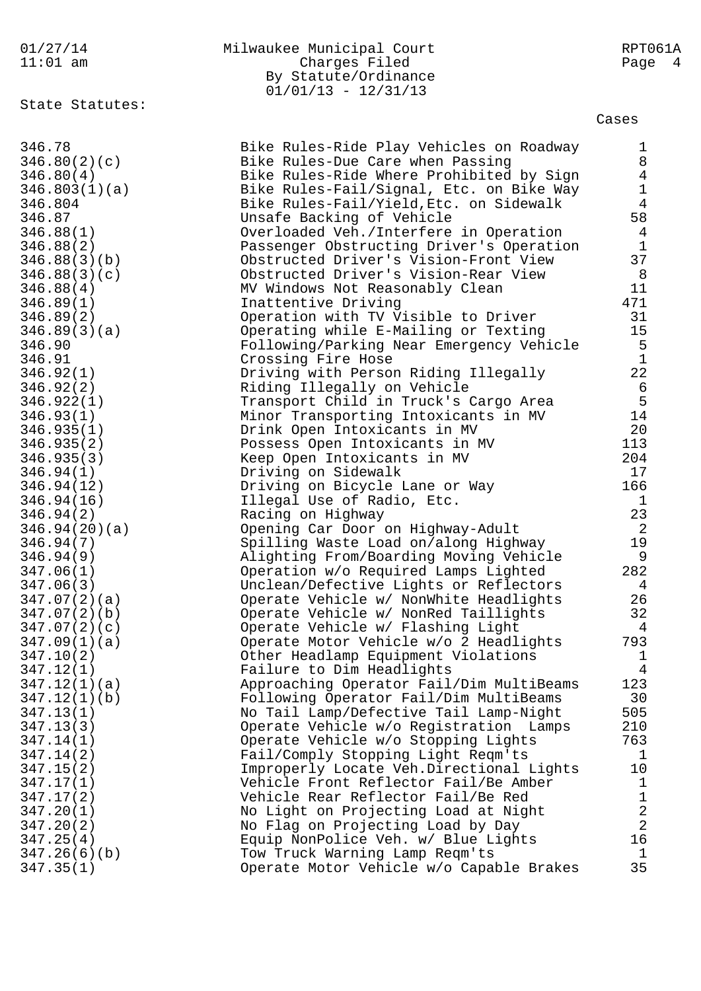|  | 01/27/14 |  |  |
|--|----------|--|--|
|  | 1.01     |  |  |

## Milwaukee Municipal Court **RPT061A** By Statute/Ordinance

State Statutes:

11:01 am Charges Filed Page 4  $01/01/13 - 12/31/13$ 

Cases

| 346.78        | Bike Rules-Ride Play Vehicles on Roadway | $\mathbf{1}$    |
|---------------|------------------------------------------|-----------------|
| 346.80(2)(c)  | Bike Rules-Due Care when Passing         | 8               |
| 346.80(4)     | Bike Rules-Ride Where Prohibited by Sign | $\overline{4}$  |
| 346.803(1)(a) | Bike Rules-Fail/Signal, Etc. on Bike Way | $\mathbf{1}$    |
|               |                                          | $\overline{4}$  |
| 346.804       | Bike Rules-Fail/Yield, Etc. on Sidewalk  |                 |
| 346.87        | Unsafe Backing of Vehicle                | 58              |
| 346.88(1)     | Overloaded Veh./Interfere in Operation   | $\overline{4}$  |
| 346.88(2)     | Passenger Obstructing Driver's Operation | $\mathbf{1}$    |
| 346.88(3)(b)  | Obstructed Driver's Vision-Front View    | 37              |
| 346.88(3)(c)  | Obstructed Driver's Vision-Rear View     | 8               |
| 346.88(4)     | MV Windows Not Reasonably Clean          | 11              |
| 346.89(1)     | Inattentive Driving                      | 471             |
| 346.89(2)     | Operation with TV Visible to Driver      | 31              |
| 346.89(3)(a)  | Operating while E-Mailing or Texting     | 15              |
| 346.90        | Following/Parking Near Emergency Vehicle | $5\phantom{.0}$ |
| 346.91        | Crossing Fire Hose                       | $\mathbf{1}$    |
| 346.92(1)     | Driving with Person Riding Illegally     | 22              |
| 346.92(2)     | Riding Illegally on Vehicle              | 6               |
| 346.922(1)    | Transport Child in Truck's Cargo Area    | $\overline{5}$  |
| 346.93(1)     | Minor Transporting Intoxicants in MV     | 14              |
| 346.935(1)    | Drink Open Intoxicants in MV             | 20              |
|               |                                          | 113             |
| 346.935(2)    | Possess Open Intoxicants in MV           |                 |
| 346.935(3)    | Keep Open Intoxicants in MV              | 204             |
| 346.94(1)     | Driving on Sidewalk                      | 17              |
| 346.94(12)    | Driving on Bicycle Lane or Way           | 166             |
| 346.94(16)    | Illegal Use of Radio, Etc.               | $\mathbf{1}$    |
| 346.94(2)     | Racing on Highway                        | 23              |
| 346.94(20)(a) | Opening Car Door on Highway-Adult        | 2               |
| 346.94(7)     | Spilling Waste Load on/along Highway     | 19              |
| 346.94(9)     | Alighting From/Boarding Moving Vehicle   | 9               |
| 347.06(1)     | Operation w/o Required Lamps Lighted     | 282             |
| 347.06(3)     | Unclean/Defective Lights or Reflectors   | $\overline{4}$  |
| 347.07(2)(a)  | Operate Vehicle w/ NonWhite Headlights   | 26              |
| 347.07(2)(b)  | Operate Vehicle w/ NonRed Taillights     | 32              |
| 347.07(2)(c)  | Operate Vehicle w/ Flashing Light        | $\overline{4}$  |
| 347.09(1)(a)  | Operate Motor Vehicle w/o 2 Headlights   | 793             |
| 347.10(2)     | Other Headlamp Equipment Violations      | $\mathbf{1}$    |
| 347.12(1)     | Failure to Dim Headlights                | 4               |
| 347.12(1)(a)  | Approaching Operator Fail/Dim MultiBeams | 123             |
| 347.12(1)(b)  | Following Operator Fail/Dim MultiBeams   | 30              |
| 347.13(1)     | No Tail Lamp/Defective Tail Lamp-Night   | 505             |
| 347.13(3)     | Operate Vehicle w/o Registration Lamps   | 210             |
| 347.14(1)     | Operate Vehicle w/o Stopping Lights      | 763             |
| 347.14(2)     | Fail/Comply Stopping Light Reqm'ts       | $\mathbf 1$     |
| 347.15(2)     | Improperly Locate Veh.Directional Lights | 10              |
| 347.17(1)     |                                          | $\mathbf 1$     |
|               | Vehicle Front Reflector Fail/Be Amber    |                 |
| 347.17(2)     | Vehicle Rear Reflector Fail/Be Red       | $\mathbf{1}$    |
| 347.20(1)     | No Light on Projecting Load at Night     | $\frac{2}{2}$   |
| 347.20(2)     | No Flag on Projecting Load by Day        |                 |
| 347.25(4)     | Equip NonPolice Veh. w/ Blue Lights      | 16              |
| 347.26(6)(b)  | Tow Truck Warning Lamp Reqm'ts           | $\mathbf{1}$    |
| 347.35(1)     | Operate Motor Vehicle w/o Capable Brakes | 35              |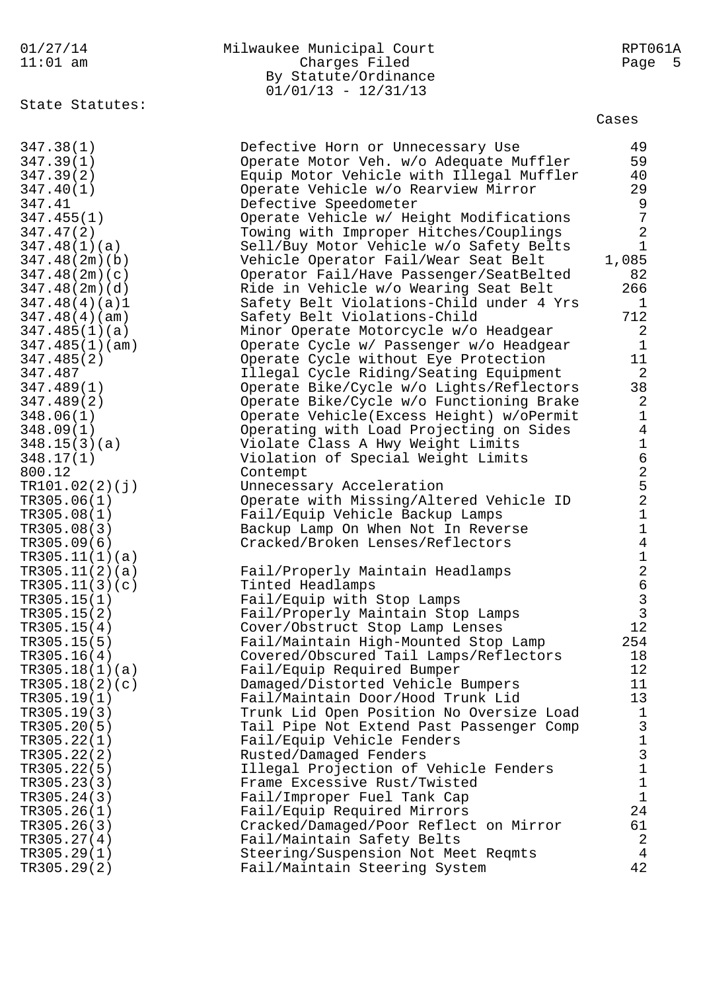|  |       |  | 01/27/14 |  |
|--|-------|--|----------|--|
|  | 11.01 |  |          |  |

| 01/27/14   | Milwaukee Municipal Court | RPT061A |
|------------|---------------------------|---------|
| $11:01$ am | Charges Filed             | Page 5  |
|            | By Statute/Ordinance      |         |
|            | $01/01/13 - 12/31/13$     |         |

TR305.29(2) Fail/Maintain Steering System 42

State Statutes:

TR305.26(3) Cracked/Damaged/Poor Reflect on Mirror 61 TR305.27(4) Fail/Maintain Safety Belts 2 TR305.29(1) Steering/Suspension Not Meet Reqmts 4

Cases 347.38(1) Defective Horn or Unnecessary Use 49 347.39(1) Operate Motor Veh. w/o Adequate Muffler 59 347.39(2) Equip Motor Vehicle with Illegal Muffler 40

347.40(1) Operate Vehicle w/o Rearview Mirror 29 347.41 Defective Speedometer 9 347.455(1) Operate Vehicle w/ Height Modifications 7 347.47(2) Towing with Improper Hitches/Couplings 2 347.48(1)(a) Sell/Buy Motor Vehicle w/o Safety Belts 1 347.48(2m)(b) Vehicle Operator Fail/Wear Seat Belt 1,085 347.48(2m)(c) Operator Fail/Have Passenger/SeatBelted 82 347.48(2m)(d) Ride in Vehicle w/o Wearing Seat Belt 266 347.48(4)(a)1 Safety Belt Violations-Child under 4 Yrs 1 347.48(4)(am) Safety Belt Violations-Child 712 347.485(1)(a) Minor Operate Motorcycle w/o Headgear 2 347.485(1)(am) Operate Cycle w/ Passenger w/o Headgear 1 347.485(2) Operate Cycle without Eye Protection 11 347.487 Illegal Cycle Riding/Seating Equipment 2 347.489(1) Operate Bike/Cycle w/o Lights/Reflectors 38 347.489(2) Operate Bike/Cycle w/o Functioning Brake 2 348.06(1) Operate Vehicle(Excess Height) w/oPermit 1 348.09(1) Operating with Load Projecting on Sides 4 348.15(3)(a) Violate Class A Hwy Weight Limits 1 348.17(1) Violation of Special Weight Limits 6 800.12 Contempt 2 TR101.02(2)(j) Unnecessary Acceleration 5 TR305.06(1) Operate with Missing/Altered Vehicle ID 2 TR305.08(1) Fail/Equip Vehicle Backup Lamps 1 TR305.08(3) Backup Lamp On When Not In Reverse 1 TR305.09(6) Cracked/Broken Lenses/Reflectors 4  $TR305.11(1)(a)$  1 TR305.11(2)(a) Fail/Properly Maintain Headlamps 2 TR305.11(3)(c) Tinted Headlamps 6 TR305.15(1) Fail/Equip with Stop Lamps 3 TR305.15(2) Fail/Properly Maintain Stop Lamps TR305.15(4) Cover/Obstruct Stop Lamp Lenses 12 TR305.15(5) Fail/Maintain High-Mounted Stop Lamp 254 TR305.16(4) Covered/Obscured Tail Lamps/Reflectors 18 TR305.18(1)(a) Fail/Equip Required Bumper 12 TR305.18(2)(c) Damaged/Distorted Vehicle Bumpers 11 TR305.19(1) Fail/Maintain Door/Hood Trunk Lid 13 TR305.19(3) Trunk Lid Open Position No Oversize Load 1 TR305.20(5) Tail Pipe Not Extend Past Passenger Comp TR305.22(1) Fail/Equip Vehicle Fenders 1 TR305.22(2) Rusted/Damaged Fenders 3 TR305.22(5) Illegal Projection of Vehicle Fenders 1 TR305.23(3) Frame Excessive Rust/Twisted 1 TR305.24(3) Fail/Improper Fuel Tank Cap 1 TR305.26(1) Fail/Equip Required Mirrors 24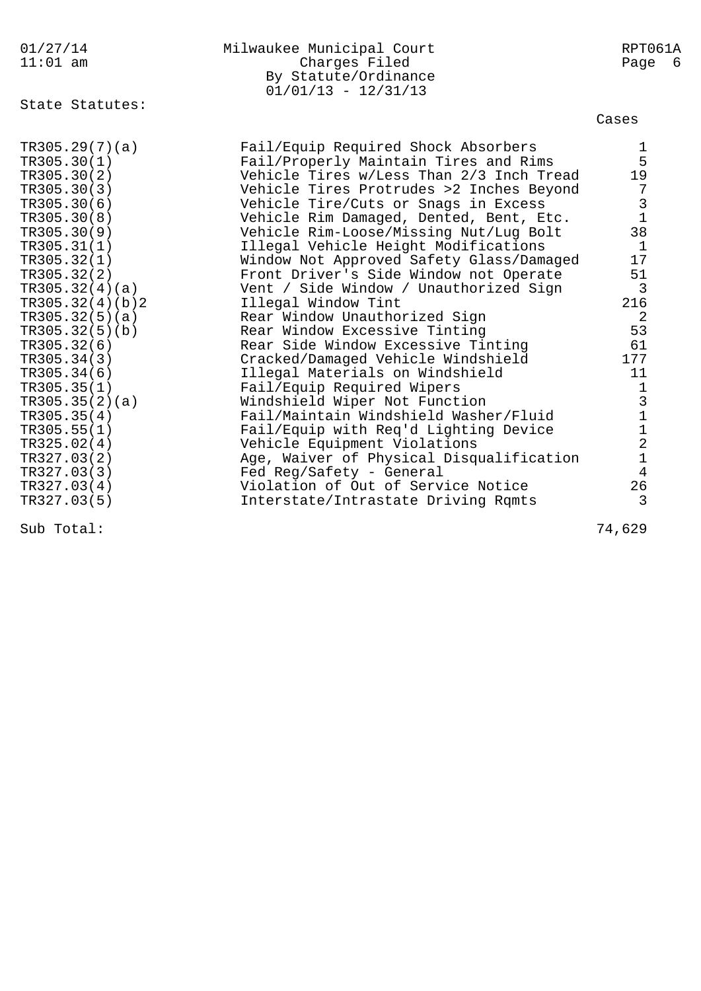| 01/27/14<br>$11:01$ am | Milwaukee Municipal Court<br>Charges Filed<br>By Statute/Ordinance<br>$01/01/13 - 12/31/13$ | RPT061A<br>Page 6                     |
|------------------------|---------------------------------------------------------------------------------------------|---------------------------------------|
| State Statutes:        |                                                                                             | Cases                                 |
| TR305.29(7)(a)         | Fail/Equip Required Shock Absorbers                                                         | $\mathbf{1}$                          |
| TR305.30(1)            | Fail/Properly Maintain Tires and Rims                                                       | 5                                     |
| TR305.30(2)            | Vehicle Tires w/Less Than 2/3 Inch Tread                                                    | 19                                    |
| TR305.30(3)            | Vehicle Tires Protrudes >2 Inches Beyond                                                    | $\overline{7}$                        |
| TR305.30(6)            | Vehicle Tire/Cuts or Snags in Excess                                                        | $\begin{array}{c} 3 \\ 1 \end{array}$ |
| TR305.30(8)            | Vehicle Rim Damaged, Dented, Bent, Etc.                                                     |                                       |
| TR305.30(9)            | Vehicle Rim-Loose/Missing Nut/Lug Bolt                                                      | 38                                    |
| TR305.31(1)            | Illegal Vehicle Height Modifications                                                        | 1                                     |
| TR305.32(1)            | Window Not Approved Safety Glass/Damaged                                                    | 17                                    |
| TR305.32(2)            | Front Driver's Side Window not Operate                                                      | 51                                    |
| TR305.32(4)(a)         | Vent / Side Window / Unauthorized Sign                                                      | 3                                     |
| TR305.32(4)(b)2        | Illegal Window Tint                                                                         | 216                                   |
| TR305.32(5)(a)         | Rear Window Unauthorized Sign                                                               | 2                                     |
| TR305.32(5)(b)         | Rear Window Excessive Tinting                                                               | 53                                    |
| TR305.32(6)            | Rear Side Window Excessive Tinting                                                          | 61                                    |
| TR305.34(3)            | Cracked/Damaged Vehicle Windshield                                                          | 177                                   |
| TR305.34(6)            | Illegal Materials on Windshield                                                             | 11                                    |
| TR305.35(1)            | Fail/Equip Required Wipers                                                                  | $\mathbf 1$                           |
| TR305.35(2)(a)         | Windshield Wiper Not Function                                                               | $\begin{array}{c} 3 \\ 1 \end{array}$ |
| TR305.35(4)            | Fail/Maintain Windshield Washer/Fluid                                                       |                                       |
| TR305.55(1)            | Fail/Equip with Req'd Lighting Device                                                       | $\mathbf{1}$                          |
| TR325.02(4)            | Vehicle Equipment Violations                                                                | $\overline{c}$                        |
| TR327.03(2)            | Age, Waiver of Physical Disqualification                                                    | $1\,$                                 |
| TR327.03(3)            | Fed Reg/Safety - General                                                                    | $\overline{4}$                        |
| TR327.03(4)            | Violation of Out of Service Notice                                                          | 26                                    |
| TR327.03(5)            | Interstate/Intrastate Driving Rqmts                                                         | 3                                     |

Sub Total: 74,629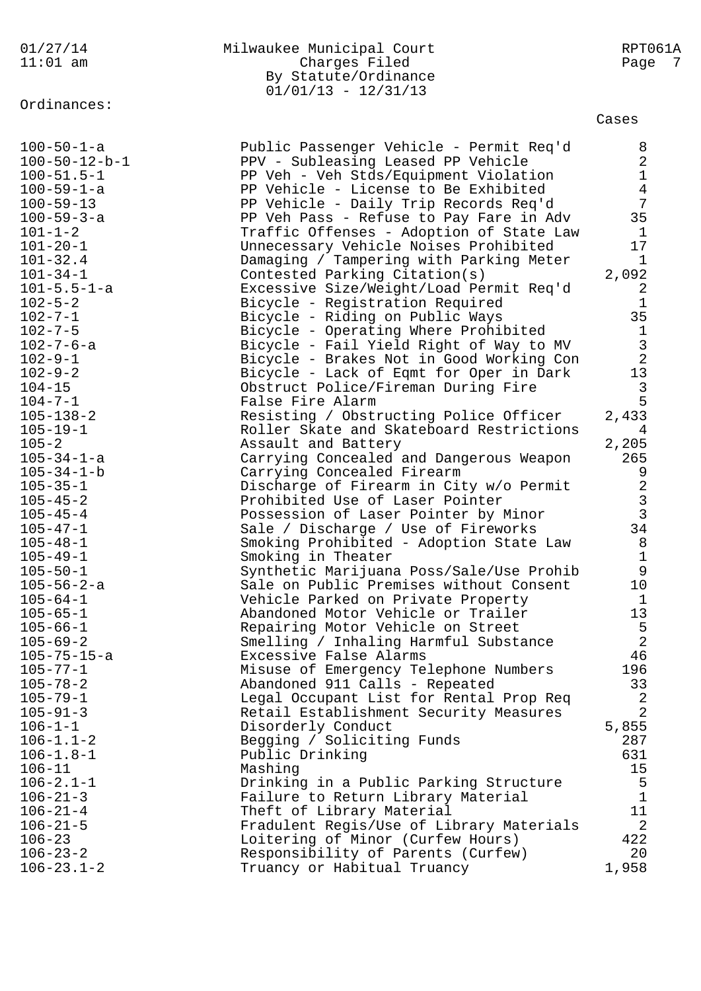| $11:01$ am              | Charges Filed                            | Page           | 7 |
|-------------------------|------------------------------------------|----------------|---|
|                         | By Statute/Ordinance                     |                |   |
|                         | $01/01/13 - 12/31/13$                    |                |   |
| Ordinances:             |                                          |                |   |
|                         |                                          | Cases          |   |
| $100 - 50 - 1 - a$      | Public Passenger Vehicle - Permit Req'd  | 8              |   |
| $100 - 50 - 12 - b - 1$ | PPV - Subleasing Leased PP Vehicle       | 2              |   |
| $100 - 51.5 - 1$        | PP Veh - Veh Stds/Equipment Violation    | $\mathbf 1$    |   |
| $100 - 59 - 1 - a$      | PP Vehicle - License to Be Exhibited     | $\overline{4}$ |   |
| $100 - 59 - 13$         | PP Vehicle - Daily Trip Records Req'd    | 7              |   |
| $100 - 59 - 3 - a$      | PP Veh Pass - Refuse to Pay Fare in Adv  | 35             |   |
| $101 - 1 - 2$           | Traffic Offenses - Adoption of State Law | 1              |   |
| $101 - 20 - 1$          | Unnecessary Vehicle Noises Prohibited    | 17             |   |
| $101 - 32.4$            | Damaging / Tampering with Parking Meter  | $\mathbf{1}$   |   |
| $101 - 34 - 1$          | Contested Parking Citation(s)            | 2,092          |   |
| $101 - 5.5 - 1 - a$     | Excessive Size/Weight/Load Permit Req'd  | 2              |   |
| $102 - 5 - 2$           | Bicycle - Registration Required          | $\mathbf{1}$   |   |
| $102 - 7 - 1$           | Bicycle - Riding on Public Ways          | 35             |   |
| $102 - 7 - 5$           | Bicycle - Operating Where Prohibited     | $\mathbf{1}$   |   |
| $102 - 7 - 6 - a$       | Bicycle - Fail Yield Right of Way to MV  | $\mathsf 3$    |   |
| $102 - 9 - 1$           | Bicycle - Brakes Not in Good Working Con | $\sqrt{2}$     |   |
| $102 - 9 - 2$           | Bicycle - Lack of Eqmt for Oper in Dark  | 13             |   |
| $104 - 15$              | Obstruct Police/Fireman During Fire      | $\mathbf{3}$   |   |
| $104 - 7 - 1$           | False Fire Alarm                         | 5              |   |
| $105 - 138 - 2$         | Resisting / Obstructing Police Officer   | 2,433          |   |
| $105 - 19 - 1$          | Roller Skate and Skateboard Restrictions | 4              |   |
| $105 - 2$               | Assault and Battery                      | 2,205          |   |
| $105 - 34 - 1 - a$      | Carrying Concealed and Dangerous Weapon  | 265            |   |
| $105 - 34 - 1 - b$      | Carrying Concealed Firearm               | 9              |   |
| $105 - 35 - 1$          | Discharge of Firearm in City w/o Permit  | $\sqrt{2}$     |   |
| $105 - 45 - 2$          | Prohibited Use of Laser Pointer          | $\mathsf{3}$   |   |
| $105 - 45 - 4$          | Possession of Laser Pointer by Minor     | $\mathfrak{Z}$ |   |
| $105 - 47 - 1$          | Sale / Discharge / Use of Fireworks      | 34             |   |
| $105 - 48 - 1$          | Smoking Prohibited - Adoption State Law  | 8              |   |
| $105 - 49 - 1$          | Smoking in Theater                       | $\mathbf{1}$   |   |
| $105 - 50 - 1$          | Synthetic Marijuana Poss/Sale/Use Prohib | 9              |   |
| $105 - 56 - 2 - a$      | Sale on Public Premises without Consent  | 10             |   |
| $105 - 64 - 1$          | Vehicle Parked on Private Property       | $\mathbf{1}$   |   |
| $105 - 65 - 1$          | Abandoned Motor Vehicle or Trailer       | 13             |   |
| $105 - 66 - 1$          | Repairing Motor Vehicle on Street        | 5              |   |
| $105 - 69 - 2$          | Smelling / Inhaling Harmful Substance    | $\overline{2}$ |   |
| $105 - 75 - 15 - a$     | Excessive False Alarms                   | 46             |   |
| $105 - 77 - 1$          | Misuse of Emergency Telephone Numbers    | 196            |   |
| $105 - 78 - 2$          | Abandoned 911 Calls - Repeated           | 33             |   |
| $105 - 79 - 1$          | Legal Occupant List for Rental Prop Req  | $\overline{c}$ |   |
| $105 - 91 - 3$          | Retail Establishment Security Measures   | $\overline{2}$ |   |
| $106 - 1 - 1$           | Disorderly Conduct                       | 5,855          |   |
| $106 - 1.1 - 2$         | Begging / Soliciting Funds               | 287            |   |
| $106 - 1.8 - 1$         | Public Drinking                          | 631            |   |
| $106 - 11$              | Mashing                                  | 15             |   |
| $106 - 2.1 - 1$         | Drinking in a Public Parking Structure   | 5              |   |
| $106 - 21 - 3$          | Failure to Return Library Material       | $\mathbf 1$    |   |
| $106 - 21 - 4$          | Theft of Library Material                | 11             |   |
| $106 - 21 - 5$          | Fradulent Regis/Use of Library Materials | 2              |   |
| $106 - 23$              | Loitering of Minor (Curfew Hours)        | 422            |   |
| $106 - 23 - 2$          | Responsibility of Parents (Curfew)       | 20             |   |
| $106 - 23.1 - 2$        | Truancy or Habitual Truancy              | 1,958          |   |

01/27/14 Milwaukee Municipal Court RPT061A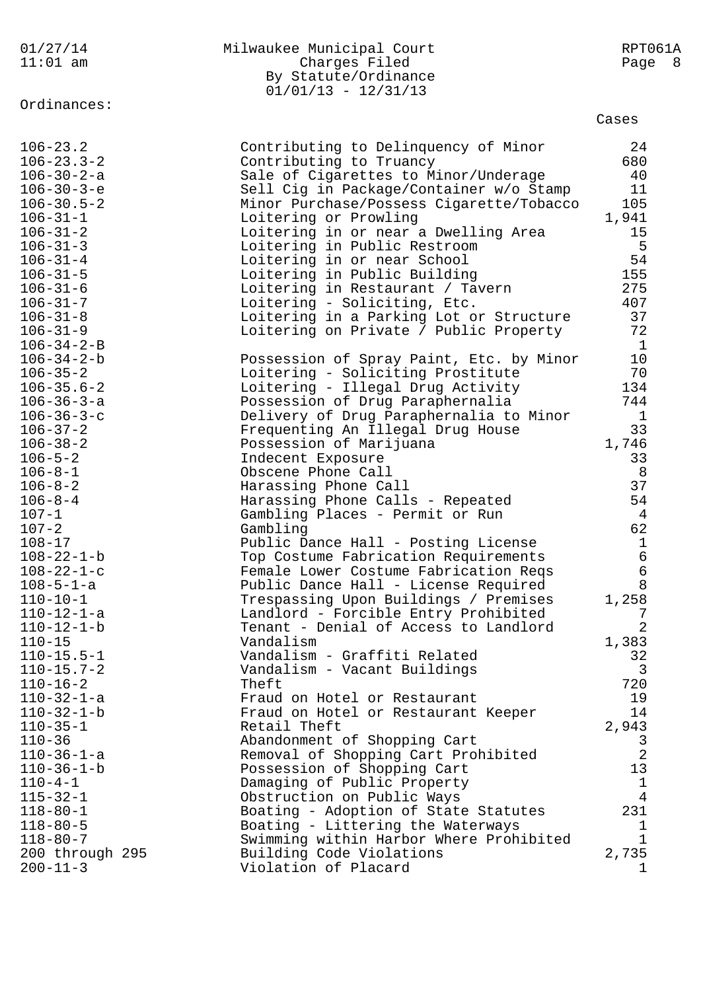|  |         |  | 01/27/14 |  |
|--|---------|--|----------|--|
|  | 11 • 01 |  |          |  |

## 01/27/14 Milwaukee Municipal Court RPT061A 11:01 am Charges Filed Page 8 By Statute/Ordinance 01/01/13 - 12/31/13

Ordinances:

Cases

| $106 - 23.2$                             | Contributing to Delinquency of Minor                             | 24                             |
|------------------------------------------|------------------------------------------------------------------|--------------------------------|
| $106 - 23.3 - 2$                         | Contributing to Truancy                                          | 680                            |
| $106 - 30 - 2 - a$                       | Sale of Cigarettes to Minor/Underage                             | 40                             |
| $106 - 30 - 3 - e$                       | Sell Cig in Package/Container w/o Stamp                          | 11                             |
| $106 - 30.5 - 2$                         | Minor Purchase/Possess Cigarette/Tobacco                         | 105                            |
| $106 - 31 - 1$                           | Loitering or Prowling                                            | 1,941                          |
| $106 - 31 - 2$                           | Loitering in or near a Dwelling Area                             | 15                             |
| $106 - 31 - 3$                           | Loitering in Public Restroom                                     | 5                              |
| $106 - 31 - 4$                           | Loitering in or near School                                      | 54                             |
| $106 - 31 - 5$<br>$106 - 31 - 6$         | Loitering in Public Building                                     | 155<br>275                     |
| $106 - 31 - 7$                           | Loitering in Restaurant / Tavern<br>Loitering - Soliciting, Etc. | 407                            |
| $106 - 31 - 8$                           | Loitering in a Parking Lot or Structure                          | 37                             |
| $106 - 31 - 9$                           | Loitering on Private / Public Property                           | 72                             |
| $106 - 34 - 2 - B$                       |                                                                  | $\mathbf{1}$                   |
| $106 - 34 - 2 - b$                       | Possession of Spray Paint, Etc. by Minor                         | 10                             |
| $106 - 35 - 2$                           | Loitering - Soliciting Prostitute                                | 70                             |
| $106 - 35.6 - 2$                         | Loitering - Illegal Drug Activity                                | 134                            |
| $106 - 36 - 3 - a$                       | Possession of Drug Paraphernalia                                 | 744                            |
| $106 - 36 - 3 - c$                       | Delivery of Drug Paraphernalia to Minor                          | $\mathbf{1}$                   |
| $106 - 37 - 2$                           | Frequenting An Illegal Drug House                                | 33                             |
| $106 - 38 - 2$                           | Possession of Marijuana                                          | 1,746                          |
| $106 - 5 - 2$                            | Indecent Exposure                                                | 33                             |
| $106 - 8 - 1$                            | Obscene Phone Call                                               | 8                              |
| $106 - 8 - 2$                            | Harassing Phone Call                                             | 37                             |
| $106 - 8 - 4$                            | Harassing Phone Calls - Repeated                                 | 54                             |
| $107 - 1$                                | Gambling Places - Permit or Run                                  | $\overline{4}$                 |
| $107 - 2$                                | Gambling                                                         | 62                             |
| $108 - 17$                               | Public Dance Hall - Posting License                              | $\mathbf{1}$                   |
| $108 - 22 - 1 - b$                       | Top Costume Fabrication Requirements                             | $\sqrt{6}$                     |
| $108 - 22 - 1 - c$                       | Female Lower Costume Fabrication Reqs                            | $\sqrt{6}$                     |
| $108 - 5 - 1 - a$                        | Public Dance Hall - License Required                             | 8                              |
| $110 - 10 - 1$                           | Trespassing Upon Buildings / Premises                            | 1,258                          |
| 110-12-1-a                               | Landlord - Forcible Entry Prohibited                             | 7                              |
| $110 - 12 - 1 - b$                       | Tenant - Denial of Access to Landlord                            | $\overline{2}$                 |
| $110 - 15$                               | Vandalism                                                        | 1,383                          |
| $110 - 15.5 - 1$                         | Vandalism - Graffiti Related                                     | 32                             |
| $110 - 15.7 - 2$                         | Vandalism - Vacant Buildings                                     | 3                              |
| $110 - 16 - 2$                           | Theft                                                            | 720                            |
| $110 - 32 - 1 - a$                       | Fraud on Hotel or Restaurant                                     | 19                             |
| $110 - 32 - 1 - b$                       | Fraud on Hotel or Restaurant Keeper                              | 14                             |
| $110 - 35 - 1$                           | Retail Theft                                                     | 2,943                          |
| $110 - 36$                               | Abandonment of Shopping Cart                                     | $\mathsf{3}$<br>$\overline{a}$ |
| $110 - 36 - 1 - a$<br>$110 - 36 - 1 - b$ | Removal of Shopping Cart Prohibited                              | 13                             |
| $110 - 4 - 1$                            | Possession of Shopping Cart<br>Damaging of Public Property       | $\mathbf{1}$                   |
| $115 - 32 - 1$                           | Obstruction on Public Ways                                       | 4                              |
| $118 - 80 - 1$                           | Boating - Adoption of State Statutes                             | 231                            |
| $118 - 80 - 5$                           | Boating - Littering the Waterways                                | $\mathbf{1}$                   |
| $118 - 80 - 7$                           | Swimming within Harbor Where Prohibited                          | $\mathbf{1}$                   |
| 200 through 295                          | Building Code Violations                                         | 2,735                          |
| $200 - 11 - 3$                           | Violation of Placard                                             | 1                              |
|                                          |                                                                  |                                |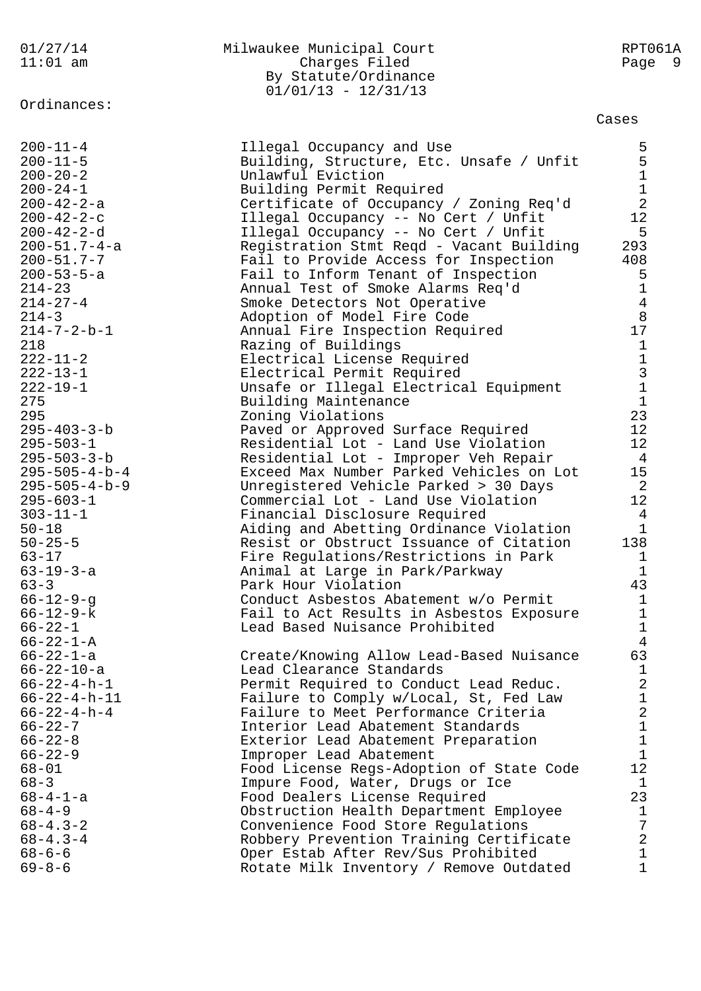| 01/27/14<br>$11:01$ am                                                                                           | Milwaukee Municipal Court<br>Charges Filed<br>By Statute/Ordinance<br>$01/01/13 - 12/31/13$                                                                                                               | RPT061A<br>- 9<br>Page                                                   |
|------------------------------------------------------------------------------------------------------------------|-----------------------------------------------------------------------------------------------------------------------------------------------------------------------------------------------------------|--------------------------------------------------------------------------|
| Ordinances:                                                                                                      |                                                                                                                                                                                                           | Cases                                                                    |
| $200 - 11 - 4$<br>$200 - 11 - 5$<br>$200 - 20 - 2$<br>$200 - 24 - 1$<br>$200 - 42 - 2 - a$<br>$200 - 42 - 2 - c$ | Illegal Occupancy and Use<br>Building, Structure, Etc. Unsafe / Unfit<br>Unlawful Eviction<br>Building Permit Required<br>Certificate of Occupancy / Zoning Req'd<br>Illegal Occupancy -- No Cert / Unfit | 55112<br>12                                                              |
| $200 - 42 - 2 - d$<br>$200 - 51.7 - 4 - a$<br>$200 - 51.7 - 7$<br>$200 - 53 - 5 - a$<br>$214 - 23$               | Illegal Occupancy -- No Cert / Unfit<br>Registration Stmt Reqd - Vacant Building<br>Fail to Provide Access for Inspection<br>Fail to Inform Tenant of Inspection<br>Annual Test of Smoke Alarms Req'd     | 5<br>293<br>408<br>5<br>$\mathbf 1$<br>$\overline{4}$                    |
| $214 - 27 - 4$<br>$214 - 3$<br>$214 - 7 - 2 - b - 1$<br>218<br>$222 - 11 - 2$<br>$222 - 13 - 1$                  | Smoke Detectors Not Operative<br>Adoption of Model Fire Code<br>Annual Fire Inspection Required<br>Razing of Buildings<br>Electrical License Required<br>Electrical Permit Required                       | 8<br>17<br>$1\,$                                                         |
| $222 - 19 - 1$<br>275<br>295<br>$295 - 403 - 3 - b$<br>$295 - 503 - 1$                                           | Unsafe or Illegal Electrical Equipment<br>Building Maintenance<br>Zoning Violations<br>Paved or Approved Surface Required<br>Residential Lot - Land Use Violation                                         | $\begin{array}{c}\n1 \\ 3 \\ 1\n\end{array}$<br>23<br>12<br>12           |
| $295 - 503 - 3 - b$<br>$295 - 505 - 4 - b - 4$<br>$295 - 505 - 4 - b - 9$<br>$295 - 603 - 1$                     | Residential Lot - Improper Veh Repair<br>Exceed Max Number Parked Vehicles on Lot<br>Unregistered Vehicle Parked > 30 Days<br>Commercial Lot - Land Use Violation                                         | $\overline{4}$<br>15<br>$\overline{2}$<br>12                             |
| $303 - 11 - 1$<br>$50 - 18$<br>$50 - 25 - 5$<br>$63 - 17$<br>$63 - 19 - 3 - a$                                   | Financial Disclosure Required<br>Aiding and Abetting Ordinance Violation<br>Resist or Obstruct Issuance of Citation<br>Fire Regulations/Restrictions in Park<br>Animal at Large in Park/Parkway           | 4<br>$\mathbf 1$<br>138<br>1<br>$\mathbf 1$                              |
| $63 - 3$<br>$66 - 12 - 9 - q$<br>$66 - 12 - 9 - k$<br>$66 - 22 - 1$                                              | Park Hour Violation<br>Conduct Asbestos Abatement w/o Permit<br>Fail to Act Results in Asbestos Exposure<br>Lead Based Nuisance Prohibited                                                                | 43<br>$\mathbf{1}$<br>$\mathbf 1$<br>$\mathbf 1$                         |
| $66 - 22 - 1 - A$<br>$66 - 22 - 1 - a$<br>$66 - 22 - 10 - a$<br>$66 - 22 - 4 - h - 1$<br>$66 - 22 - 4 - h - 11$  | Create/Knowing Allow Lead-Based Nuisance<br>Lead Clearance Standards<br>Permit Required to Conduct Lead Reduc.<br>Failure to Comply w/Local, St, Fed Law                                                  | $\overline{4}$<br>63<br>$\mathbf{1}$<br>$\overline{c}$<br>$\overline{1}$ |
| $66 - 22 - 4 - h - 4$<br>$66 - 22 - 7$<br>$66 - 22 - 8$<br>$66 - 22 - 9$                                         | Failure to Meet Performance Criteria<br>Interior Lead Abatement Standards<br>Exterior Lead Abatement Preparation<br>Improper Lead Abatement                                                               | $\overline{2}$<br>$\mathbf{1}$<br>$\overline{1}$<br>$\mathbf{1}$         |
| $68 - 01$<br>$68 - 3$<br>$68 - 4 - 1 - a$<br>$68 - 4 - 9$                                                        | Food License Regs-Adoption of State Code<br>Impure Food, Water, Drugs or Ice<br>Food Dealers License Required<br>Obstruction Health Department Employee                                                   | 12<br>$\mathbf{1}$<br>23<br>$\mathbf{1}$                                 |
| $68 - 4.3 - 2$<br>$68 - 4.3 - 4$<br>$68 - 6 - 6$<br>$69 - 8 - 6$                                                 | Convenience Food Store Regulations<br>Robbery Prevention Training Certificate<br>Oper Estab After Rev/Sus Prohibited<br>Rotate Milk Inventory / Remove Outdated                                           | 7<br>$\overline{2}$<br>1<br>$\mathbf 1$                                  |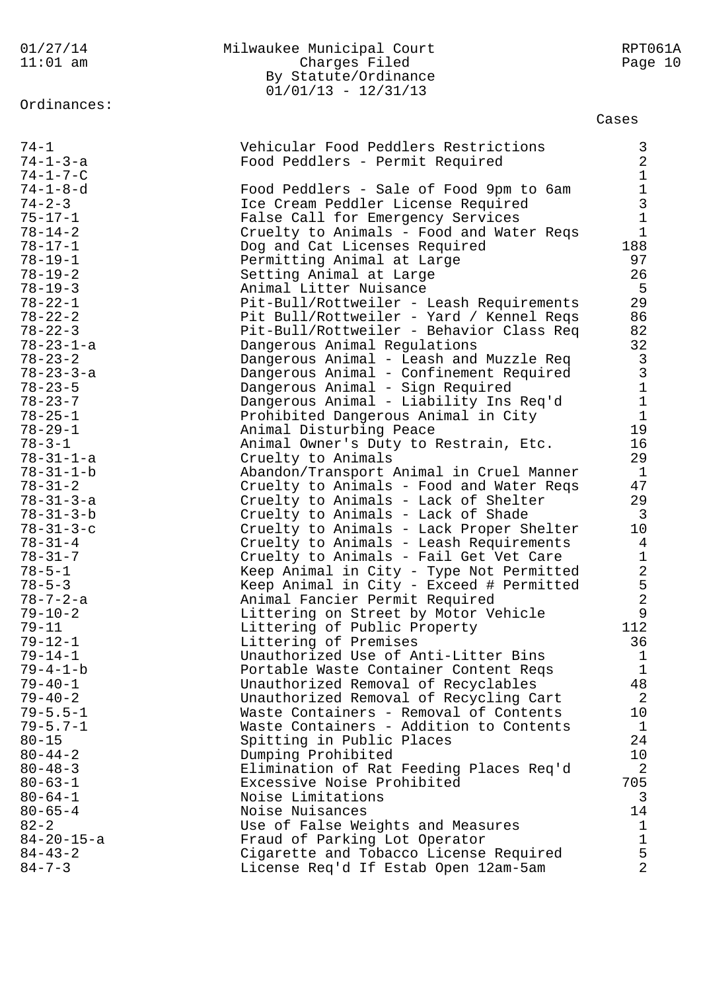| 01/27/14<br>$11:01$ am                                                                            | Milwaukee Municipal Court<br>Charges Filed<br>By Statute/Ordinance<br>$01/01/13 - 12/31/13$                                                                                                                   | RPT061A<br>Page 10                                                            |
|---------------------------------------------------------------------------------------------------|---------------------------------------------------------------------------------------------------------------------------------------------------------------------------------------------------------------|-------------------------------------------------------------------------------|
| Ordinances:                                                                                       |                                                                                                                                                                                                               | Cases                                                                         |
| $74 - 1$<br>$74 - 1 - 3 - a$<br>$74 - 1 - 7 - C$<br>$74 - 1 - 8 - d$                              | Vehicular Food Peddlers Restrictions<br>Food Peddlers - Permit Required<br>Food Peddlers - Sale of Food 9pm to 6am                                                                                            | $\frac{3}{2}$<br>$\mathbf 1$                                                  |
| $74 - 2 - 3$<br>$75 - 17 - 1$<br>$78 - 14 - 2$<br>$78 - 17 - 1$<br>$78 - 19 - 1$<br>$78 - 19 - 2$ | Ice Cream Peddler License Required<br>False Call for Emergency Services<br>Cruelty to Animals - Food and Water Reqs<br>Dog and Cat Licenses Required<br>Permitting Animal at Large<br>Setting Animal at Large | $\begin{array}{c} 1 \\ 3 \\ 1 \end{array}$<br>$\mathbf{1}$<br>188<br>97<br>26 |
| $78 - 19 - 3$                                                                                     | Animal Litter Nuisance                                                                                                                                                                                        | 5                                                                             |
| $78 - 22 - 1$                                                                                     | Pit-Bull/Rottweiler - Leash Requirements                                                                                                                                                                      | 29                                                                            |
| $78 - 22 - 2$                                                                                     | Pit Bull/Rottweiler - Yard / Kennel Reqs                                                                                                                                                                      | 86                                                                            |
| $78 - 22 - 3$                                                                                     | Pit-Bull/Rottweiler - Behavior Class Req                                                                                                                                                                      | 82                                                                            |
| $78 - 23 - 1 - a$                                                                                 | Dangerous Animal Regulations                                                                                                                                                                                  | 32                                                                            |
| $78 - 23 - 2$<br>$78 - 23 - 3 - a$<br>$78 - 23 - 5$<br>$78 - 23 - 7$<br>$78 - 25 - 1$             | Dangerous Animal - Leash and Muzzle Req<br>Dangerous Animal - Confinement Required<br>Dangerous Animal - Sign Required<br>Dangerous Animal - Liability Ins Req'd<br>Prohibited Dangerous Animal in City       | $\begin{array}{c} 3 \\ 3 \\ 1 \\ 1 \end{array}$                               |
| $78 - 29 - 1$                                                                                     | Animal Disturbing Peace                                                                                                                                                                                       | 19                                                                            |
| $78 - 3 - 1$                                                                                      | Animal Owner's Duty to Restrain, Etc.                                                                                                                                                                         | 16                                                                            |
| $78 - 31 - 1 - a$                                                                                 | Cruelty to Animals                                                                                                                                                                                            | 29                                                                            |
| $78 - 31 - 1 - b$                                                                                 | Abandon/Transport Animal in Cruel Manner                                                                                                                                                                      | $\mathbf{1}$                                                                  |
| $78 - 31 - 2$                                                                                     | Cruelty to Animals - Food and Water Reqs                                                                                                                                                                      | 47                                                                            |
| $78 - 31 - 3 - a$                                                                                 | Cruelty to Animals - Lack of Shelter                                                                                                                                                                          | 29                                                                            |
| $78 - 31 - 3 - b$                                                                                 | Cruelty to Animals - Lack of Shade                                                                                                                                                                            | $\overline{3}$                                                                |
| $78 - 31 - 3 - c$                                                                                 | Cruelty to Animals - Lack Proper Shelter                                                                                                                                                                      | 10                                                                            |
| $78 - 31 - 4$                                                                                     | Cruelty to Animals - Leash Requirements                                                                                                                                                                       | 4                                                                             |
| $78 - 31 - 7$                                                                                     | Cruelty to Animals - Fail Get Vet Care                                                                                                                                                                        | $\mathbf 1$                                                                   |
| $78 - 5 - 1$                                                                                      | Keep Animal in City - Type Not Permitted                                                                                                                                                                      | 2                                                                             |
| $78 - 5 - 3$                                                                                      | Keep Animal in City - Exceed # Permitted                                                                                                                                                                      | 5                                                                             |
| $78 - 7 - 2 - a$                                                                                  | Animal Fancier Permit Required                                                                                                                                                                                | $\overline{2}$                                                                |
| $79 - 10 - 2$                                                                                     | Littering on Street by Motor Vehicle                                                                                                                                                                          | 9                                                                             |
| $79 - 11$                                                                                         | Littering of Public Property                                                                                                                                                                                  | 112                                                                           |
| $79 - 12 - 1$                                                                                     | Littering of Premises                                                                                                                                                                                         | 36                                                                            |
| $79 - 14 - 1$                                                                                     | Unauthorized Use of Anti-Litter Bins                                                                                                                                                                          | $\mathbf 1$                                                                   |
| $79 - 4 - 1 - b$                                                                                  | Portable Waste Container Content Reqs                                                                                                                                                                         | $\mathbf{1}$                                                                  |
| $79 - 40 - 1$                                                                                     | Unauthorized Removal of Recyclables                                                                                                                                                                           | 48                                                                            |
| $79 - 40 - 2$                                                                                     | Unauthorized Removal of Recycling Cart                                                                                                                                                                        | 2                                                                             |
| $79 - 5.5 - 1$                                                                                    | Waste Containers - Removal of Contents                                                                                                                                                                        | 10                                                                            |
| $79 - 5.7 - 1$                                                                                    | Waste Containers - Addition to Contents                                                                                                                                                                       | 1                                                                             |
| $80 - 15$                                                                                         | Spitting in Public Places                                                                                                                                                                                     | 24                                                                            |
| $80 - 44 - 2$                                                                                     | Dumping Prohibited                                                                                                                                                                                            | 10                                                                            |
| $80 - 48 - 3$                                                                                     | Elimination of Rat Feeding Places Req'd                                                                                                                                                                       | 2                                                                             |
| $80 - 63 - 1$                                                                                     | Excessive Noise Prohibited                                                                                                                                                                                    | 705                                                                           |
| $80 - 64 - 1$                                                                                     | Noise Limitations                                                                                                                                                                                             | 3                                                                             |
| $80 - 65 - 4$                                                                                     | Noise Nuisances                                                                                                                                                                                               | 14                                                                            |
| $82 - 2$                                                                                          | Use of False Weights and Measures                                                                                                                                                                             | $\mathbf 1$                                                                   |
| $84 - 20 - 15 - a$                                                                                | Fraud of Parking Lot Operator                                                                                                                                                                                 | $\mathbf 1$                                                                   |
| $84 - 43 - 2$                                                                                     | Cigarette and Tobacco License Required                                                                                                                                                                        | 5                                                                             |
| $84 - 7 - 3$                                                                                      | License Req'd If Estab Open 12am-5am                                                                                                                                                                          | $\overline{2}$                                                                |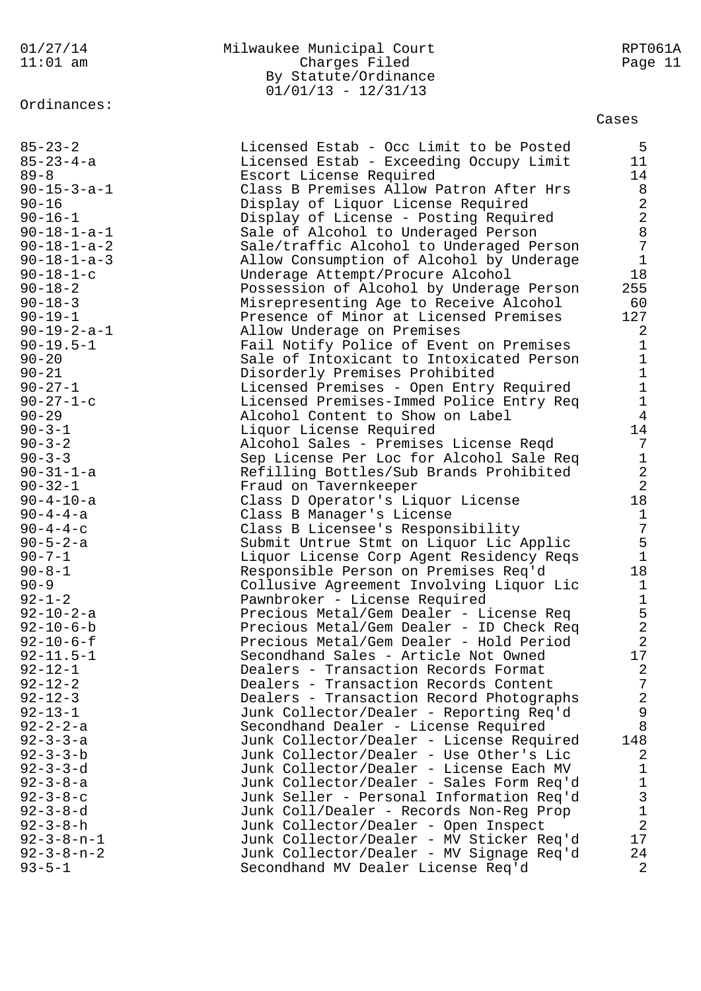Ordinances:

## 01/27/14 Milwaukee Municipal Court RPT061A Charges Filed By Statute/Ordinance  $01/01/13 - 12/31/13$

Cases

| $85 - 23 - 2$         | Licensed Estab - Occ Limit to be Posted  | 5                                     |
|-----------------------|------------------------------------------|---------------------------------------|
| $85 - 23 - 4 - a$     | Licensed Estab - Exceeding Occupy Limit  | 11                                    |
| $89 - 8$              | Escort License Required                  | 14                                    |
| $90 - 15 - 3 - a - 1$ | Class B Premises Allow Patron After Hrs  | 8                                     |
| $90 - 16$             | Display of Liquor License Required       | $\frac{2}{2}$                         |
| $90 - 16 - 1$         | Display of License - Posting Required    |                                       |
| $90 - 18 - 1 - a - 1$ | Sale of Alcohol to Underaged Person      | $\,8\,$                               |
| $90 - 18 - 1 - a - 2$ | Sale/traffic Alcohol to Underaged Person | $\overline{7}$                        |
| $90 - 18 - 1 - a - 3$ | Allow Consumption of Alcohol by Underage | $\mathbf{1}$                          |
| $90 - 18 - 1 - c$     | Underage Attempt/Procure Alcohol         | 18                                    |
| $90 - 18 - 2$         | Possession of Alcohol by Underage Person | 255                                   |
| $90 - 18 - 3$         | Misrepresenting Age to Receive Alcohol   | 60                                    |
| $90 - 19 - 1$         | Presence of Minor at Licensed Premises   | 127                                   |
| $90 - 19 - 2 - a - 1$ | Allow Underage on Premises               | $\overline{2}$                        |
| $90 - 19.5 - 1$       | Fail Notify Police of Event on Premises  | $\mathbf{1}$                          |
| $90 - 20$             | Sale of Intoxicant to Intoxicated Person | $\mathbf{1}$                          |
| $90 - 21$             | Disorderly Premises Prohibited           | $1\,$                                 |
| $90 - 27 - 1$         | Licensed Premises - Open Entry Required  | $1\,$                                 |
| $90 - 27 - 1 - c$     | Licensed Premises-Immed Police Entry Req | $\mathbf{1}$                          |
| $90 - 29$             | Alcohol Content to Show on Label         | $\overline{4}$                        |
| $90 - 3 - 1$          | Liquor License Required                  | 14                                    |
| $90 - 3 - 2$          | Alcohol Sales - Premises License Reqd    | 7                                     |
| $90 - 3 - 3$          | Sep License Per Loc for Alcohol Sale Req | $\mathbf{1}$                          |
| $90 - 31 - 1 - a$     | Refilling Bottles/Sub Brands Prohibited  | $\overline{2}$                        |
| $90 - 32 - 1$         | Fraud on Tavernkeeper                    | $\overline{2}$                        |
| $90 - 4 - 10 - a$     | Class D Operator's Liquor License        | 18                                    |
| $90 - 4 - 4 - a$      | Class B Manager's License                | $\mathbf{1}$                          |
| $90 - 4 - 4 - c$      | Class B Licensee's Responsibility        | $\overline{7}$                        |
| $90 - 5 - 2 - a$      | Submit Untrue Stmt on Liquor Lic Applic  | 5                                     |
| $90 - 7 - 1$          | Liquor License Corp Agent Residency Reqs | $\mathbf{1}$                          |
| $90 - 8 - 1$          | Responsible Person on Premises Req'd     | 18                                    |
| $90 - 9$              | Collusive Agreement Involving Liquor Lic | $\mathbf 1$                           |
| $92 - 1 - 2$          | Pawnbroker - License Required            | $1\,$                                 |
| $92 - 10 - 2 - a$     | Precious Metal/Gem Dealer - License Req  | 5                                     |
| $92 - 10 - 6 - b$     | Precious Metal/Gem Dealer - ID Check Req | $\sqrt{2}$                            |
| $92 - 10 - 6 - f$     | Precious Metal/Gem Dealer - Hold Period  | $\overline{2}$                        |
| $92 - 11.5 - 1$       | Secondhand Sales - Article Not Owned     | $17$                                  |
| $92 - 12 - 1$         | Dealers - Transaction Records Format     | 2                                     |
| $92 - 12 - 2$         | Dealers - Transaction Records Content    | 7                                     |
| $92 - 12 - 3$         | Dealers - Transaction Record Photographs | $\sqrt{2}$                            |
| $92 - 13 - 1$         | Junk Collector/Dealer - Reporting Req'd  | $\mathsf 9$                           |
| $92 - 2 - 2 - a$      | Secondhand Dealer - License Required     | 8                                     |
|                       |                                          |                                       |
| $92 - 3 - 3 - a$      | Junk Collector/Dealer - License Required | 148                                   |
| $92 - 3 - 3 - b$      | Junk Collector/Dealer - Use Other's Lic  | 2                                     |
| $92 - 3 - 3 - d$      | Junk Collector/Dealer - License Each MV  | $1\,$                                 |
| $92 - 3 - 8 - a$      | Junk Collector/Dealer - Sales Form Req'd | $\mathbf 1$                           |
| $92 - 3 - 8 - c$      | Junk Seller - Personal Information Req'd | $\begin{array}{c} 3 \\ 1 \end{array}$ |
| $92 - 3 - 8 - d$      | Junk Coll/Dealer - Records Non-Reg Prop  |                                       |
| $92 - 3 - 8 - h$      | Junk Collector/Dealer - Open Inspect     | $\overline{a}$                        |
| $92 - 3 - 8 - n - 1$  | Junk Collector/Dealer - MV Sticker Req'd | 17                                    |
| $92 - 3 - 8 - n - 2$  | Junk Collector/Dealer - MV Signage Req'd | 24                                    |
| $93 - 5 - 1$          | Secondhand MV Dealer License Req'd       | $\overline{2}$                        |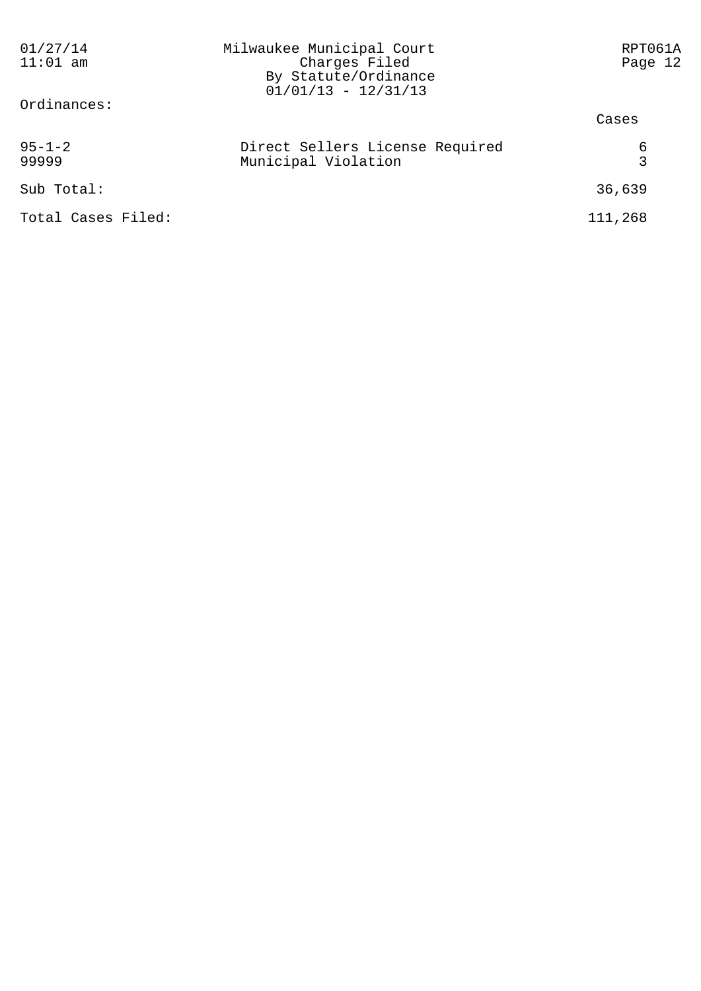| 01/27/14<br>$11:01$ am | Milwaukee Municipal Court<br>Charges Filed<br>By Statute/Ordinance<br>$01/01/13 - 12/31/13$ | RPT061A<br>Page 12 |
|------------------------|---------------------------------------------------------------------------------------------|--------------------|
| Ordinances:            |                                                                                             | Cases              |
| $95 - 1 - 2$<br>99999  | Direct Sellers License Required<br>Municipal Violation                                      | 6<br>3             |
| Sub Total:             |                                                                                             | 36,639             |
| Total Cases Filed:     |                                                                                             | 111,268            |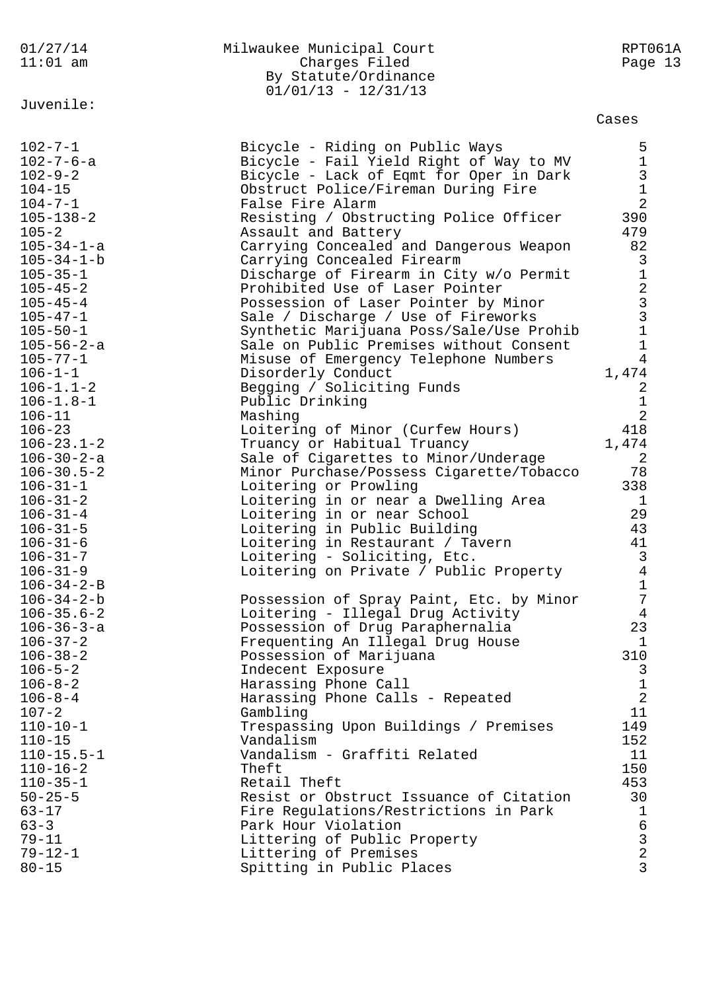| 01/27/14<br>$11:01$ am                                                                                | Milwaukee Municipal Court<br>Charges Filed<br>By Statute/Ordinance<br>$01/01/13 - 12/31/13$                                                                                                                                | RPT061A<br>Page 13                                                                 |
|-------------------------------------------------------------------------------------------------------|----------------------------------------------------------------------------------------------------------------------------------------------------------------------------------------------------------------------------|------------------------------------------------------------------------------------|
| Juvenile:                                                                                             |                                                                                                                                                                                                                            | Cases                                                                              |
| $102 - 7 - 1$<br>$102 - 7 - 6 - a$<br>$102 - 9 - 2$<br>$104 - 15$<br>$104 - 7 - 1$<br>$105 - 138 - 2$ | Bicycle - Riding on Public Ways<br>Bicycle - Fail Yield Right of Way to MV<br>Bicycle - Lack of Eqmt for Oper in Dark<br>Obstruct Police/Fireman During Fire<br>False Fire Alarm<br>Resisting / Obstructing Police Officer | 5<br>$\mathbf 1$<br>$\begin{array}{c} 3 \\ 1 \end{array}$<br>$\overline{2}$<br>390 |
| $105 - 2$<br>$105 - 34 - 1 - a$<br>$105 - 34 - 1 - b$<br>$105 - 35 - 1$                               | Assault and Battery<br>Carrying Concealed and Dangerous Weapon<br>Carrying Concealed Firearm<br>Discharge of Firearm in City w/o Permit                                                                                    | 479<br>82<br>$\mathsf{3}$<br>$\mathbf 1$                                           |
| $105 - 45 - 2$<br>$105 - 45 - 4$<br>$105 - 47 - 1$<br>$105 - 50 - 1$                                  | Prohibited Use of Laser Pointer<br>Possession of Laser Pointer by Minor<br>Sale / Discharge / Use of Fireworks<br>Synthetic Marijuana Poss/Sale/Use Prohib<br>Sale on Public Premises without Consent                      | $\begin{array}{c} 2 \\ 3 \\ 3 \\ 1 \end{array}$                                    |
| $105 - 56 - 2 - a$<br>$105 - 77 - 1$<br>$106 - 1 - 1$<br>$106 - 1.1 - 2$<br>$106 - 1.8 - 1$           | Misuse of Emergency Telephone Numbers<br>Disorderly Conduct<br>Begging / Soliciting Funds<br>Public Drinking                                                                                                               | $\mathbf 1$<br>$\overline{4}$<br>1,474<br>2<br>$1\,$                               |
| $106 - 11$<br>$106 - 23$<br>$106 - 23.1 - 2$<br>$106 - 30 - 2 - a$                                    | Mashing<br>Loitering of Minor (Curfew Hours)<br>Truancy or Habitual Truancy<br>Sale of Cigarettes to Minor/Underage                                                                                                        | $\overline{2}$<br>418<br>1,474<br>$\overline{2}$                                   |
| $106 - 30.5 - 2$<br>$106 - 31 - 1$<br>$106 - 31 - 2$<br>$106 - 31 - 4$                                | Minor Purchase/Possess Cigarette/Tobacco<br>Loitering or Prowling<br>Loitering in or near a Dwelling Area<br>Loitering in or near School                                                                                   | 78<br>338<br>$\mathbf 1$<br>29                                                     |
| $106 - 31 - 5$<br>$106 - 31 - 6$<br>$106 - 31 - 7$<br>$106 - 31 - 9$                                  | Loitering in Public Building<br>Loitering in Restaurant / Tavern<br>Loitering - Soliciting, Etc.<br>Loitering on Private / Public Property                                                                                 | 43<br>41<br>3<br>$\overline{4}$                                                    |
| $106 - 34 - 2 - B$<br>$106 - 34 - 2 - b$<br>$106 - 35.6 - 2$<br>$106 - 36 - 3 - a$                    | Possession of Spray Paint, Etc. by Minor<br>Loitering - Illegal Drug Activity<br>Possession of Drug Paraphernalia                                                                                                          | $\mathbf 1$<br>$\overline{7}$<br>4<br>23                                           |
| $106 - 37 - 2$<br>$106 - 38 - 2$<br>$106 - 5 - 2$<br>$106 - 8 - 2$                                    | Frequenting An Illegal Drug House<br>Possession of Marijuana<br>Indecent Exposure                                                                                                                                          | $\mathbf 1$<br>310<br>3                                                            |
| $106 - 8 - 4$<br>$107 - 2$<br>$110 - 10 - 1$                                                          | Harassing Phone Call<br>Harassing Phone Calls - Repeated<br>Gambling<br>Trespassing Upon Buildings / Premises                                                                                                              | $\mathbf{1}$<br>$\overline{a}$<br>11<br>149                                        |
| $110 - 15$<br>$110 - 15.5 - 1$<br>$110 - 16 - 2$<br>$110 - 35 - 1$                                    | Vandalism<br>Vandalism - Graffiti Related<br>Theft<br>Retail Theft                                                                                                                                                         | 152<br>11<br>150<br>453                                                            |
| $50 - 25 - 5$<br>$63 - 17$<br>$63 - 3$                                                                | Resist or Obstruct Issuance of Citation<br>Fire Regulations/Restrictions in Park<br>Park Hour Violation                                                                                                                    | 30<br>$\mathbf{1}$<br>$\epsilon$                                                   |
| $79 - 11$<br>$79 - 12 - 1$<br>$80 - 15$                                                               | Littering of Public Property<br>Littering of Premises<br>Spitting in Public Places                                                                                                                                         | $\frac{3}{2}$<br>$\overline{3}$                                                    |